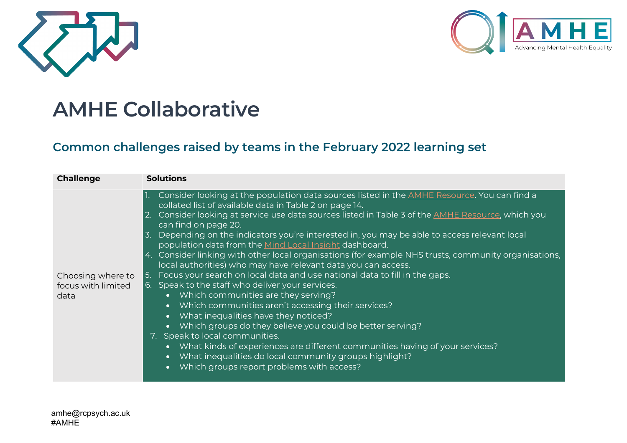



## **AMHE Collaborative**

## **Common challenges raised by teams in the February 2022 learning set**

| <b>Challenge</b>                                                                                                                                                                                                                                                                                                                                                                                                                                                                                                                                                                                             |
|--------------------------------------------------------------------------------------------------------------------------------------------------------------------------------------------------------------------------------------------------------------------------------------------------------------------------------------------------------------------------------------------------------------------------------------------------------------------------------------------------------------------------------------------------------------------------------------------------------------|
| 1. Consider looking at the population data sources listed in the <b>AMHE Resource</b> . You can find a<br>2. Consider looking at service use data sources listed in Table 3 of the AMHE Resource, which you<br>3. Depending on the indicators you're interested in, you may be able to access relevant local<br>4. Consider linking with other local organisations (for example NHS trusts, community organisations,<br>5. Focus your search on local data and use national data to fill in the gaps.<br>Choosing where to<br>6. Speak to the staff who deliver your services.<br>focus with limited<br>data |